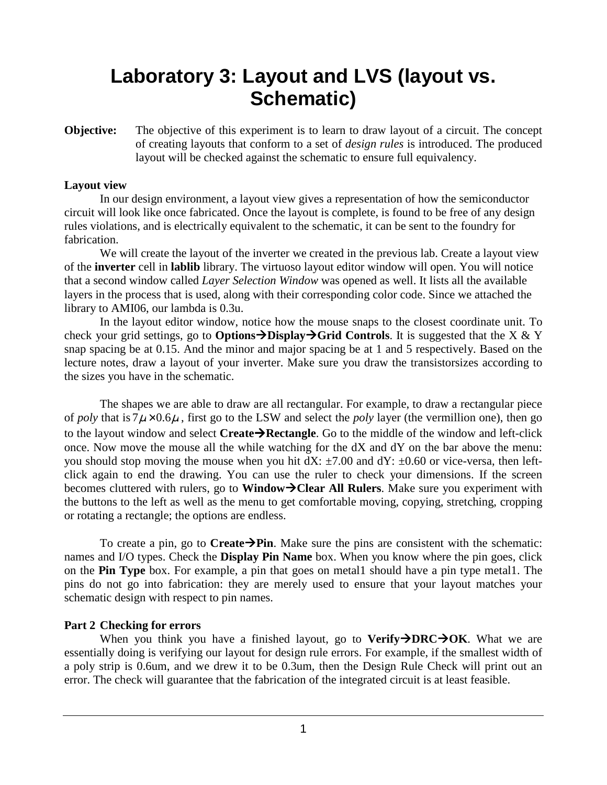# **Laboratory 3: Layout and LVS (layout vs. Schematic)**

**Objective:** The objective of this experiment is to learn to draw layout of a circuit. The concept of creating layouts that conform to a set of *design rules* is introduced. The produced layout will be checked against the schematic to ensure full equivalency.

### **Layout view**

In our design environment, a layout view gives a representation of how the semiconductor circuit will look like once fabricated. Once the layout is complete, is found to be free of any design rules violations, and is electrically equivalent to the schematic, it can be sent to the foundry for fabrication.

We will create the layout of the inverter we created in the previous lab. Create a layout view of the **inverter** cell in **lablib** library. The virtuoso layout editor window will open. You will notice that a second window called *Layer Selection Window* was opened as well. It lists all the available layers in the process that is used, along with their corresponding color code. Since we attached the library to AMI06, our lambda is 0.3u.

 In the layout editor window, notice how the mouse snaps to the closest coordinate unit. To check your grid settings, go to **Options** $\rightarrow$ **Display** $\rightarrow$ Grid Controls. It is suggested that the X & Y snap spacing be at 0.15. And the minor and major spacing be at 1 and 5 respectively. Based on the lecture notes, draw a layout of your inverter. Make sure you draw the transistorsizes according to the sizes you have in the schematic.

The shapes we are able to draw are all rectangular. For example, to draw a rectangular piece of *poly* that is  $7\mu \times 0.6\mu$ , first go to the LSW and select the *poly* layer (the vermillion one), then go to the layout window and select **CreateRectangle**. Go to the middle of the window and left-click once. Now move the mouse all the while watching for the dX and dY on the bar above the menu: you should stop moving the mouse when you hit  $dX: \pm 7.00$  and  $dY: \pm 0.60$  or vice-versa, then leftclick again to end the drawing. You can use the ruler to check your dimensions. If the screen becomes cluttered with rulers, go to **Window->Clear All Rulers**. Make sure you experiment with the buttons to the left as well as the menu to get comfortable moving, copying, stretching, cropping or rotating a rectangle; the options are endless.

To create a pin, go to **Create**  $\rightarrow$  **Pin**. Make sure the pins are consistent with the schematic: names and I/O types. Check the **Display Pin Name** box. When you know where the pin goes, click on the **Pin Type** box. For example, a pin that goes on metal1 should have a pin type metal1. The pins do not go into fabrication: they are merely used to ensure that your layout matches your schematic design with respect to pin names.

## **Part 2 Checking for errors**

When you think you have a finished layout, go to **Verify**  $\rightarrow$  DRC $\rightarrow$  OK. What we are essentially doing is verifying our layout for design rule errors. For example, if the smallest width of a poly strip is 0.6um, and we drew it to be 0.3um, then the Design Rule Check will print out an error. The check will guarantee that the fabrication of the integrated circuit is at least feasible.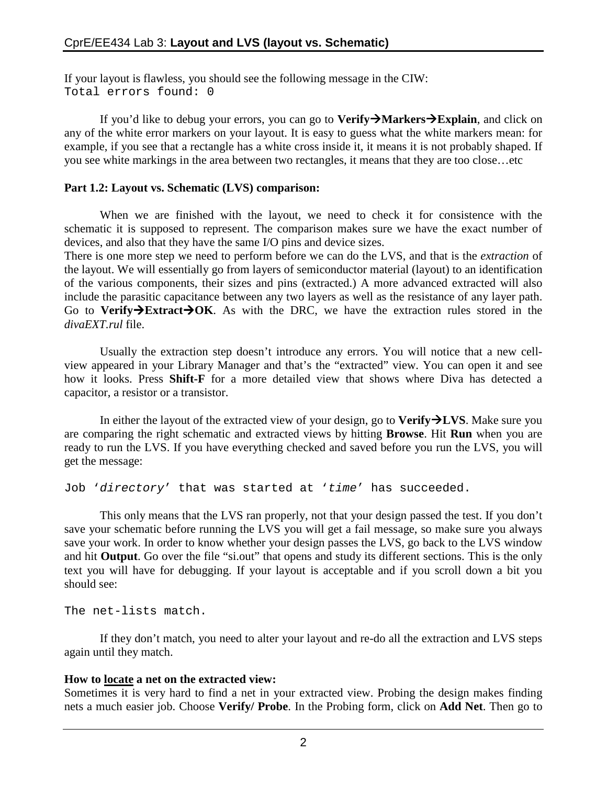If your layout is flawless, you should see the following message in the CIW: Total errors found: 0

If you'd like to debug your errors, you can go to **VerifyMarkersExplain**, and click on any of the white error markers on your layout. It is easy to guess what the white markers mean: for example, if you see that a rectangle has a white cross inside it, it means it is not probably shaped. If you see white markings in the area between two rectangles, it means that they are too close…etc

## **Part 1.2: Layout vs. Schematic (LVS) comparison:**

When we are finished with the layout, we need to check it for consistence with the schematic it is supposed to represent. The comparison makes sure we have the exact number of devices, and also that they have the same I/O pins and device sizes.

There is one more step we need to perform before we can do the LVS, and that is the *extraction* of the layout. We will essentially go from layers of semiconductor material (layout) to an identification of the various components, their sizes and pins (extracted.) A more advanced extracted will also include the parasitic capacitance between any two layers as well as the resistance of any layer path. Go to Verify $\rightarrow$ Extract $\rightarrow$ OK. As with the DRC, we have the extraction rules stored in the *divaEXT.rul* file.

Usually the extraction step doesn't introduce any errors. You will notice that a new cellview appeared in your Library Manager and that's the "extracted" view. You can open it and see how it looks. Press **Shift-F** for a more detailed view that shows where Diva has detected a capacitor, a resistor or a transistor.

In either the layout of the extracted view of your design, go to **VerifyLVS**. Make sure you are comparing the right schematic and extracted views by hitting **Browse**. Hit **Run** when you are ready to run the LVS. If you have everything checked and saved before you run the LVS, you will get the message:

Job 'directory' that was started at 'time' has succeeded.

This only means that the LVS ran properly, not that your design passed the test. If you don't save your schematic before running the LVS you will get a fail message, so make sure you always save your work. In order to know whether your design passes the LVS, go back to the LVS window and hit **Output**. Go over the file "si.out" that opens and study its different sections. This is the only text you will have for debugging. If your layout is acceptable and if you scroll down a bit you should see:

The net-lists match.

If they don't match, you need to alter your layout and re-do all the extraction and LVS steps again until they match.

## **How to locate a net on the extracted view:**

Sometimes it is very hard to find a net in your extracted view. Probing the design makes finding nets a much easier job. Choose **Verify/ Probe**. In the Probing form, click on **Add Net**. Then go to